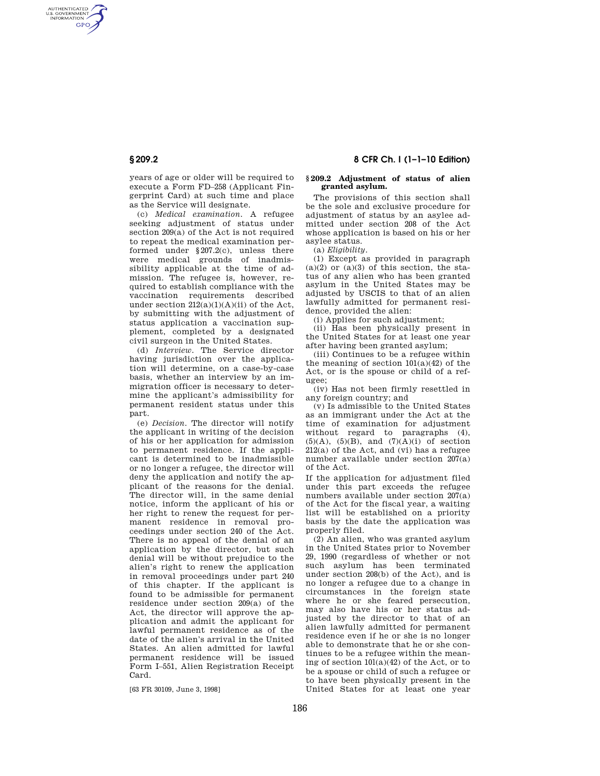AUTHENTICATED<br>U.S. GOVERNMENT<br>INFORMATION **GPO** 

> years of age or older will be required to execute a Form FD–258 (Applicant Fingerprint Card) at such time and place as the Service will designate.

> (c) *Medical examination.* A refugee seeking adjustment of status under section 209(a) of the Act is not required to repeat the medical examination performed under §207.2(c), unless there were medical grounds of inadmissibility applicable at the time of admission. The refugee is, however, required to establish compliance with the vaccination requirements described under section  $212(a)(1)(A)(ii)$  of the Act, by submitting with the adjustment of status application a vaccination supplement, completed by a designated civil surgeon in the United States.

> (d) *Interview.* The Service director having jurisdiction over the application will determine, on a case-by-case basis, whether an interview by an immigration officer is necessary to determine the applicant's admissibility for permanent resident status under this part.

> (e) *Decision.* The director will notify the applicant in writing of the decision of his or her application for admission to permanent residence. If the applicant is determined to be inadmissible or no longer a refugee, the director will deny the application and notify the applicant of the reasons for the denial. The director will, in the same denial notice, inform the applicant of his or her right to renew the request for permanent residence in removal proceedings under section 240 of the Act. There is no appeal of the denial of an application by the director, but such denial will be without prejudice to the alien's right to renew the application in removal proceedings under part 240 of this chapter. If the applicant is found to be admissible for permanent residence under section 209(a) of the Act, the director will approve the application and admit the applicant for lawful permanent residence as of the date of the alien's arrival in the United States. An alien admitted for lawful permanent residence will be issued Form I–551, Alien Registration Receipt Card.

[63 FR 30109, June 3, 1998]

**§ 209.2 8 CFR Ch. I (1–1–10 Edition)** 

### **§ 209.2 Adjustment of status of alien granted asylum.**

The provisions of this section shall be the sole and exclusive procedure for adjustment of status by an asylee admitted under section 208 of the Act whose application is based on his or her asylee status.

(a) *Eligibility.* 

(1) Except as provided in paragraph  $(a)(2)$  or  $(a)(3)$  of this section, the status of any alien who has been granted asylum in the United States may be adjusted by USCIS to that of an alien lawfully admitted for permanent residence, provided the alien:

(i) Applies for such adjustment;

(ii) Has been physically present in the United States for at least one year after having been granted asylum;

(iii) Continues to be a refugee within the meaning of section  $101(a)(42)$  of the Act, or is the spouse or child of a refugee;

(iv) Has not been firmly resettled in any foreign country; and

(v) Is admissible to the United States as an immigrant under the Act at the time of examination for adjustment without regard to paragraphs (4),  $(5)(A)$ ,  $(5)(B)$ , and  $(7)(A)(i)$  of section 212(a) of the Act, and (vi) has a refugee number available under section 207(a) of the Act.

If the application for adjustment filed under this part exceeds the refugee numbers available under section 207(a) of the Act for the fiscal year, a waiting list will be established on a priority basis by the date the application was properly filed.

(2) An alien, who was granted asylum in the United States prior to November 29, 1990 (regardless of whether or not such asylum has been terminated under section 208(b) of the Act), and is no longer a refugee due to a change in circumstances in the foreign state where he or she feared persecution, may also have his or her status adjusted by the director to that of an alien lawfully admitted for permanent residence even if he or she is no longer able to demonstrate that he or she continues to be a refugee within the meaning of section  $101(a)(42)$  of the Act, or to be a spouse or child of such a refugee or to have been physically present in the United States for at least one year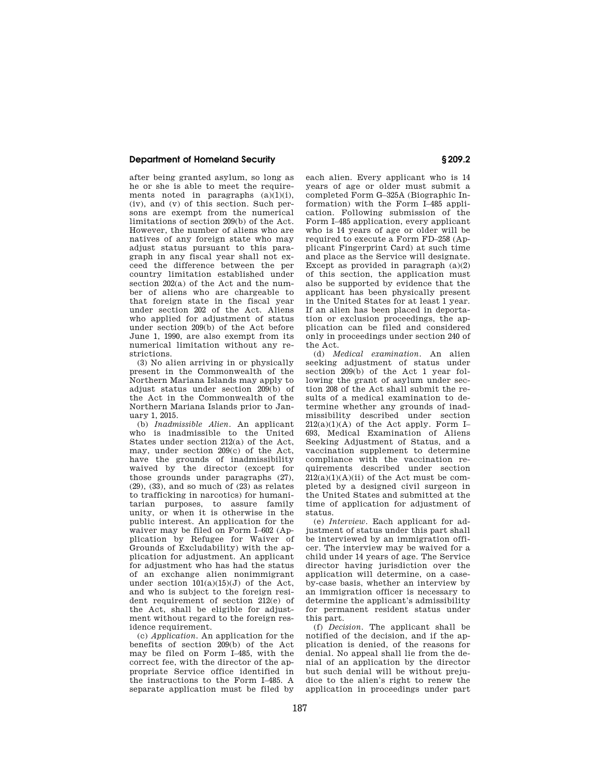## **Department of Homeland Security § 209.2**

after being granted asylum, so long as he or she is able to meet the requirements noted in paragraphs  $(a)(1)(i)$ , (iv), and (v) of this section. Such persons are exempt from the numerical limitations of section 209(b) of the Act. However, the number of aliens who are natives of any foreign state who may adjust status pursuant to this paragraph in any fiscal year shall not exceed the difference between the per country limitation established under section 202(a) of the Act and the number of aliens who are chargeable to that foreign state in the fiscal year under section 202 of the Act. Aliens who applied for adjustment of status under section 209(b) of the Act before June 1, 1990, are also exempt from its numerical limitation without any restrictions.

(3) No alien arriving in or physically present in the Commonwealth of the Northern Mariana Islands may apply to adjust status under section 209(b) of the Act in the Commonwealth of the Northern Mariana Islands prior to January 1, 2015.

(b) *Inadmissible Alien.* An applicant who is inadmissible to the United States under section 212(a) of the Act, may, under section 209(c) of the Act, have the grounds of inadmissibility waived by the director (except for those grounds under paragraphs (27),  $(29)$ ,  $(33)$ , and so much of  $(23)$  as relates to trafficking in narcotics) for humanitarian purposes, to assure family unity, or when it is otherwise in the public interest. An application for the waiver may be filed on Form I–602 (Application by Refugee for Waiver of Grounds of Excludability) with the application for adjustment. An applicant for adjustment who has had the status of an exchange alien nonimmigrant under section  $101(a)(15)(J)$  of the Act and who is subject to the foreign resident requirement of section 212(e) of the Act, shall be eligible for adjustment without regard to the foreign residence requirement.

(c) *Application.* An application for the benefits of section 209(b) of the Act may be filed on Form I–485, with the correct fee, with the director of the appropriate Service office identified in the instructions to the Form I–485. A separate application must be filed by

each alien. Every applicant who is 14 years of age or older must submit a completed Form G–325A (Biographic Information) with the Form I–485 application. Following submission of the Form I–485 application, every applicant who is 14 years of age or older will be required to execute a Form FD–258 (Applicant Fingerprint Card) at such time and place as the Service will designate. Except as provided in paragraph  $(a)(2)$ of this section, the application must also be supported by evidence that the applicant has been physically present in the United States for at least 1 year. If an alien has been placed in deportation or exclusion proceedings, the application can be filed and considered only in proceedings under section 240 of the Act.

(d) *Medical examination.* An alien seeking adjustment of status under section 209(b) of the Act 1 year following the grant of asylum under section 208 of the Act shall submit the results of a medical examination to determine whether any grounds of inadmissibility described under section  $212(a)(1)(A)$  of the Act apply. Form I-693, Medical Examination of Aliens Seeking Adjustment of Status, and a vaccination supplement to determine compliance with the vaccination requirements described under section  $212(a)(1)(A)(ii)$  of the Act must be completed by a designed civil surgeon in the United States and submitted at the time of application for adjustment of status.

(e) *Interview.* Each applicant for adjustment of status under this part shall be interviewed by an immigration officer. The interview may be waived for a child under 14 years of age. The Service director having jurisdiction over the application will determine, on a caseby-case basis, whether an interview by an immigration officer is necessary to determine the applicant's admissibility for permanent resident status under this part.

(f) *Decision.* The applicant shall be notified of the decision, and if the application is denied, of the reasons for denial. No appeal shall lie from the denial of an application by the director but such denial will be without prejudice to the alien's right to renew the application in proceedings under part